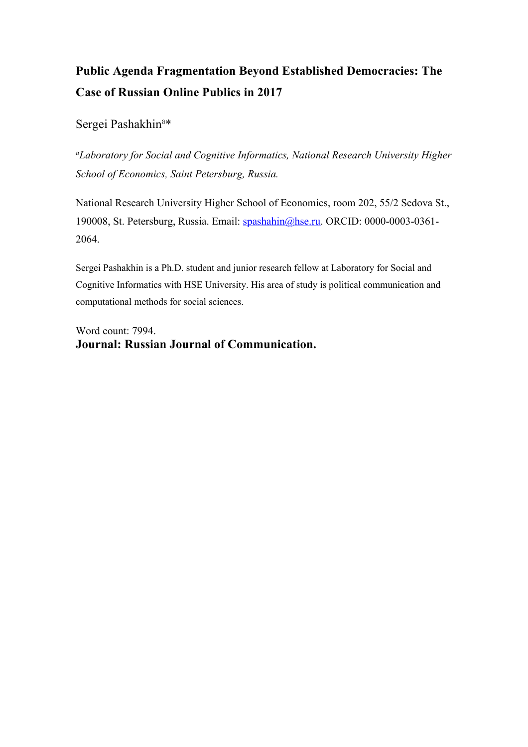# **Public Agenda Fragmentation Beyond Established Democracies: The Case of Russian Online Publics in 2017**

Sergei Pashakhin<sup>a\*</sup>

*a Laboratory for Social and Cognitive Informatics, National Research University Higher School of Economics, Saint Petersburg, Russia.*

National Research University Higher School of Economics, room 202, 55/2 Sedova St., 190008, St. Petersburg, Russia. Email: spashahin@hse.ru. ORCID: 0000-0003-0361-2064.

Sergei Pashakhin is a Ph.D. student and junior research fellow at Laboratory for Social and Cognitive Informatics with HSE University. His area of study is political communication and computational methods for social sciences.

Word count: 7994. **Journal: Russian Journal of Communication.**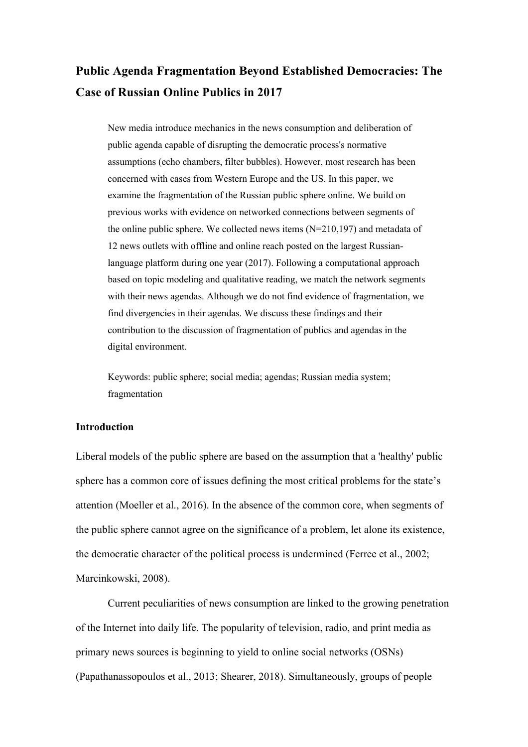# **Public Agenda Fragmentation Beyond Established Democracies: The Case of Russian Online Publics in 2017**

New media introduce mechanics in the news consumption and deliberation of public agenda capable of disrupting the democratic process's normative assumptions (echo chambers, filter bubbles). However, most research has been concerned with cases from Western Europe and the US. In this paper, we examine the fragmentation of the Russian public sphere online. We build on previous works with evidence on networked connections between segments of the online public sphere. We collected news items  $(N=210,197)$  and metadata of 12 news outlets with offline and online reach posted on the largest Russianlanguage platform during one year (2017). Following a computational approach based on topic modeling and qualitative reading, we match the network segments with their news agendas. Although we do not find evidence of fragmentation, we find divergencies in their agendas. We discuss these findings and their contribution to the discussion of fragmentation of publics and agendas in the digital environment.

Keywords: public sphere; social media; agendas; Russian media system; fragmentation

#### **Introduction**

Liberal models of the public sphere are based on the assumption that a 'healthy' public sphere has a common core of issues defining the most critical problems for the state's attention (Moeller et al., 2016). In the absence of the common core, when segments of the public sphere cannot agree on the significance of a problem, let alone its existence, the democratic character of the political process is undermined (Ferree et al., 2002; Marcinkowski, 2008).

Current peculiarities of news consumption are linked to the growing penetration of the Internet into daily life. The popularity of television, radio, and print media as primary news sources is beginning to yield to online social networks (OSNs) (Papathanassopoulos et al., 2013; Shearer, 2018). Simultaneously, groups of people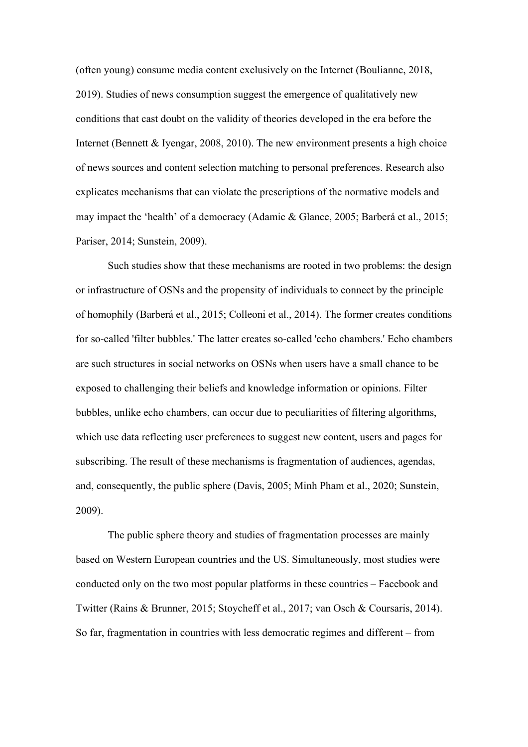(often young) consume media content exclusively on the Internet (Boulianne, 2018, 2019). Studies of news consumption suggest the emergence of qualitatively new conditions that cast doubt on the validity of theories developed in the era before the Internet (Bennett & Iyengar, 2008, 2010). The new environment presents a high choice of news sources and content selection matching to personal preferences. Research also explicates mechanisms that can violate the prescriptions of the normative models and may impact the 'health' of a democracy (Adamic & Glance, 2005; Barberá et al., 2015; Pariser, 2014; Sunstein, 2009).

Such studies show that these mechanisms are rooted in two problems: the design or infrastructure of OSNs and the propensity of individuals to connect by the principle of homophily (Barberá et al., 2015; Colleoni et al., 2014). The former creates conditions for so-called 'filter bubbles.' The latter creates so-called 'echo chambers.' Echo chambers are such structures in social networks on OSNs when users have a small chance to be exposed to challenging their beliefs and knowledge information or opinions. Filter bubbles, unlike echo chambers, can occur due to peculiarities of filtering algorithms, which use data reflecting user preferences to suggest new content, users and pages for subscribing. The result of these mechanisms is fragmentation of audiences, agendas, and, consequently, the public sphere (Davis, 2005; Minh Pham et al., 2020; Sunstein, 2009).

The public sphere theory and studies of fragmentation processes are mainly based on Western European countries and the US. Simultaneously, most studies were conducted only on the two most popular platforms in these countries – Facebook and Twitter (Rains & Brunner, 2015; Stoycheff et al., 2017; van Osch & Coursaris, 2014). So far, fragmentation in countries with less democratic regimes and different – from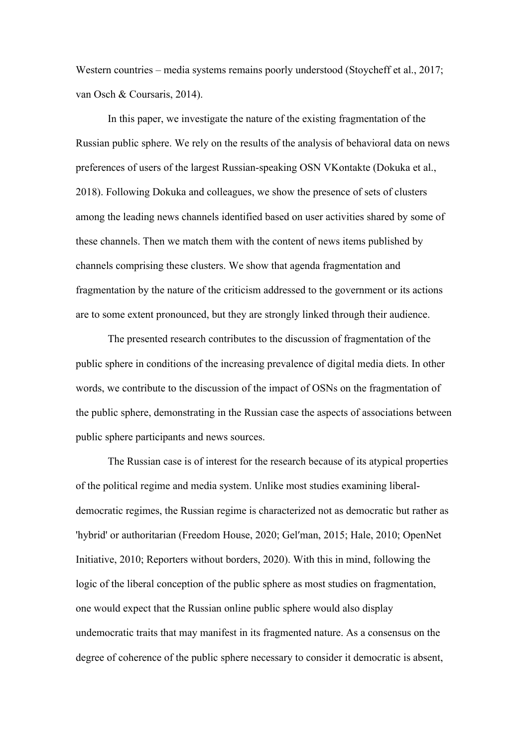Western countries – media systems remains poorly understood (Stoycheff et al., 2017; van Osch & Coursaris, 2014).

In this paper, we investigate the nature of the existing fragmentation of the Russian public sphere. We rely on the results of the analysis of behavioral data on news preferences of users of the largest Russian-speaking OSN VKontakte (Dokuka et al., 2018). Following Dokuka and colleagues, we show the presence of sets of clusters among the leading news channels identified based on user activities shared by some of these channels. Then we match them with the content of news items published by channels comprising these clusters. We show that agenda fragmentation and fragmentation by the nature of the criticism addressed to the government or its actions are to some extent pronounced, but they are strongly linked through their audience.

The presented research contributes to the discussion of fragmentation of the public sphere in conditions of the increasing prevalence of digital media diets. In other words, we contribute to the discussion of the impact of OSNs on the fragmentation of the public sphere, demonstrating in the Russian case the aspects of associations between public sphere participants and news sources.

The Russian case is of interest for the research because of its atypical properties of the political regime and media system. Unlike most studies examining liberaldemocratic regimes, the Russian regime is characterized not as democratic but rather as 'hybrid' or authoritarian (Freedom House, 2020; Gelʹman, 2015; Hale, 2010; OpenNet Initiative, 2010; Reporters without borders, 2020). With this in mind, following the logic of the liberal conception of the public sphere as most studies on fragmentation, one would expect that the Russian online public sphere would also display undemocratic traits that may manifest in its fragmented nature. As a consensus on the degree of coherence of the public sphere necessary to consider it democratic is absent,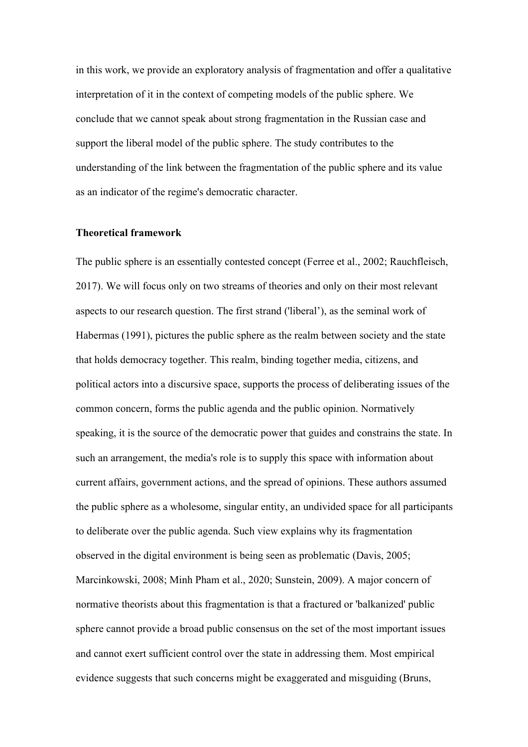in this work, we provide an exploratory analysis of fragmentation and offer a qualitative interpretation of it in the context of competing models of the public sphere. We conclude that we cannot speak about strong fragmentation in the Russian case and support the liberal model of the public sphere. The study contributes to the understanding of the link between the fragmentation of the public sphere and its value as an indicator of the regime's democratic character.

#### **Theoretical framework**

The public sphere is an essentially contested concept (Ferree et al., 2002; Rauchfleisch, 2017). We will focus only on two streams of theories and only on their most relevant aspects to our research question. The first strand ('liberal'), as the seminal work of Habermas (1991), pictures the public sphere as the realm between society and the state that holds democracy together. This realm, binding together media, citizens, and political actors into a discursive space, supports the process of deliberating issues of the common concern, forms the public agenda and the public opinion. Normatively speaking, it is the source of the democratic power that guides and constrains the state. In such an arrangement, the media's role is to supply this space with information about current affairs, government actions, and the spread of opinions. These authors assumed the public sphere as a wholesome, singular entity, an undivided space for all participants to deliberate over the public agenda. Such view explains why its fragmentation observed in the digital environment is being seen as problematic (Davis, 2005; Marcinkowski, 2008; Minh Pham et al., 2020; Sunstein, 2009). A major concern of normative theorists about this fragmentation is that a fractured or 'balkanized' public sphere cannot provide a broad public consensus on the set of the most important issues and cannot exert sufficient control over the state in addressing them. Most empirical evidence suggests that such concerns might be exaggerated and misguiding (Bruns,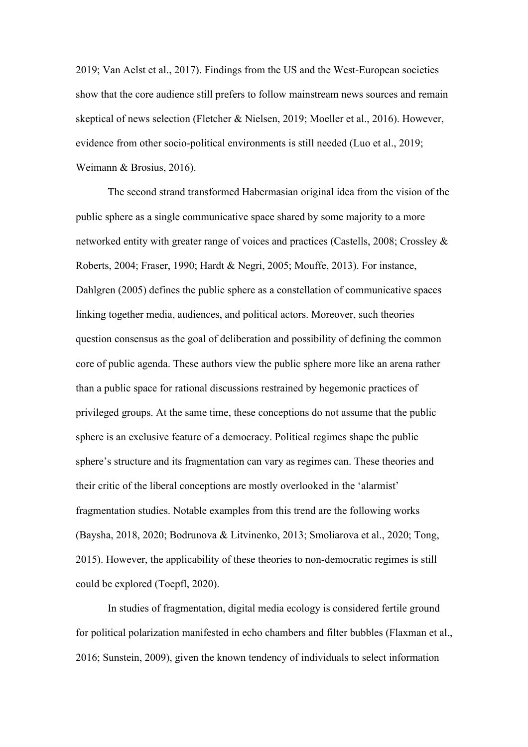2019; Van Aelst et al., 2017). Findings from the US and the West-European societies show that the core audience still prefers to follow mainstream news sources and remain skeptical of news selection (Fletcher & Nielsen, 2019; Moeller et al., 2016). However, evidence from other socio-political environments is still needed (Luo et al., 2019; Weimann & Brosius, 2016).

The second strand transformed Habermasian original idea from the vision of the public sphere as a single communicative space shared by some majority to a more networked entity with greater range of voices and practices (Castells, 2008; Crossley & Roberts, 2004; Fraser, 1990; Hardt & Negri, 2005; Mouffe, 2013). For instance, Dahlgren (2005) defines the public sphere as a constellation of communicative spaces linking together media, audiences, and political actors. Moreover, such theories question consensus as the goal of deliberation and possibility of defining the common core of public agenda. These authors view the public sphere more like an arena rather than a public space for rational discussions restrained by hegemonic practices of privileged groups. At the same time, these conceptions do not assume that the public sphere is an exclusive feature of a democracy. Political regimes shape the public sphere's structure and its fragmentation can vary as regimes can. These theories and their critic of the liberal conceptions are mostly overlooked in the 'alarmist' fragmentation studies. Notable examples from this trend are the following works (Baysha, 2018, 2020; Bodrunova & Litvinenko, 2013; Smoliarova et al., 2020; Tong, 2015). However, the applicability of these theories to non-democratic regimes is still could be explored (Toepfl, 2020).

In studies of fragmentation, digital media ecology is considered fertile ground for political polarization manifested in echo chambers and filter bubbles (Flaxman et al., 2016; Sunstein, 2009), given the known tendency of individuals to select information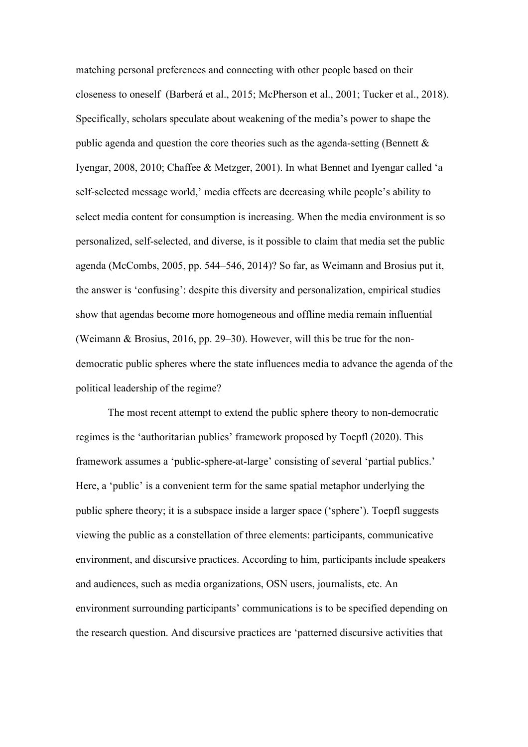matching personal preferences and connecting with other people based on their closeness to oneself (Barberá et al., 2015; McPherson et al., 2001; Tucker et al., 2018). Specifically, scholars speculate about weakening of the media's power to shape the public agenda and question the core theories such as the agenda-setting (Bennett  $\&$ Iyengar, 2008, 2010; Chaffee & Metzger, 2001). In what Bennet and Iyengar called 'a self-selected message world,' media effects are decreasing while people's ability to select media content for consumption is increasing. When the media environment is so personalized, self-selected, and diverse, is it possible to claim that media set the public agenda (McCombs, 2005, pp. 544–546, 2014)? So far, as Weimann and Brosius put it, the answer is 'confusing': despite this diversity and personalization, empirical studies show that agendas become more homogeneous and offline media remain influential (Weimann & Brosius, 2016, pp. 29–30). However, will this be true for the nondemocratic public spheres where the state influences media to advance the agenda of the political leadership of the regime?

The most recent attempt to extend the public sphere theory to non-democratic regimes is the 'authoritarian publics' framework proposed by Toepfl (2020). This framework assumes a 'public-sphere-at-large' consisting of several 'partial publics.' Here, a 'public' is a convenient term for the same spatial metaphor underlying the public sphere theory; it is a subspace inside a larger space ('sphere'). Toepfl suggests viewing the public as a constellation of three elements: participants, communicative environment, and discursive practices. According to him, participants include speakers and audiences, such as media organizations, OSN users, journalists, etc. An environment surrounding participants' communications is to be specified depending on the research question. And discursive practices are 'patterned discursive activities that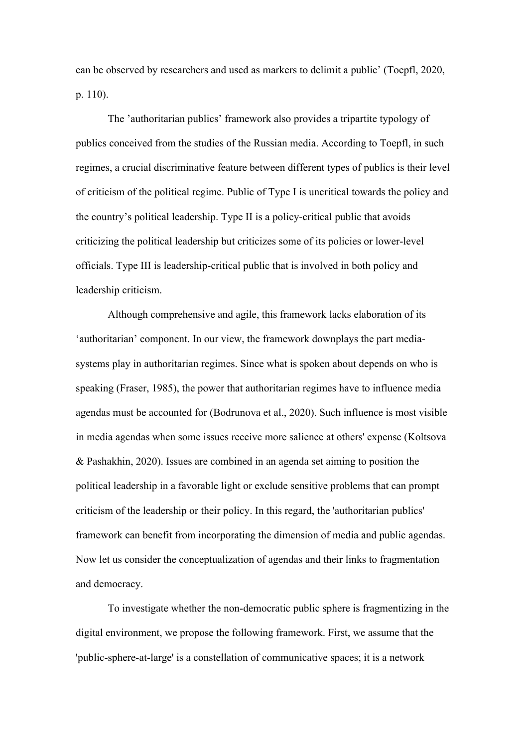can be observed by researchers and used as markers to delimit a public' (Toepfl, 2020, p. 110).

The 'authoritarian publics' framework also provides a tripartite typology of publics conceived from the studies of the Russian media. According to Toepfl, in such regimes, a crucial discriminative feature between different types of publics is their level of criticism of the political regime. Public of Type I is uncritical towards the policy and the country's political leadership. Type II is a policy-critical public that avoids criticizing the political leadership but criticizes some of its policies or lower-level officials. Type III is leadership-critical public that is involved in both policy and leadership criticism.

Although comprehensive and agile, this framework lacks elaboration of its 'authoritarian' component. In our view, the framework downplays the part mediasystems play in authoritarian regimes. Since what is spoken about depends on who is speaking (Fraser, 1985), the power that authoritarian regimes have to influence media agendas must be accounted for (Bodrunova et al., 2020). Such influence is most visible in media agendas when some issues receive more salience at others' expense (Koltsova & Pashakhin, 2020). Issues are combined in an agenda set aiming to position the political leadership in a favorable light or exclude sensitive problems that can prompt criticism of the leadership or their policy. In this regard, the 'authoritarian publics' framework can benefit from incorporating the dimension of media and public agendas. Now let us consider the conceptualization of agendas and their links to fragmentation and democracy.

To investigate whether the non-democratic public sphere is fragmentizing in the digital environment, we propose the following framework. First, we assume that the 'public-sphere-at-large' is a constellation of communicative spaces; it is a network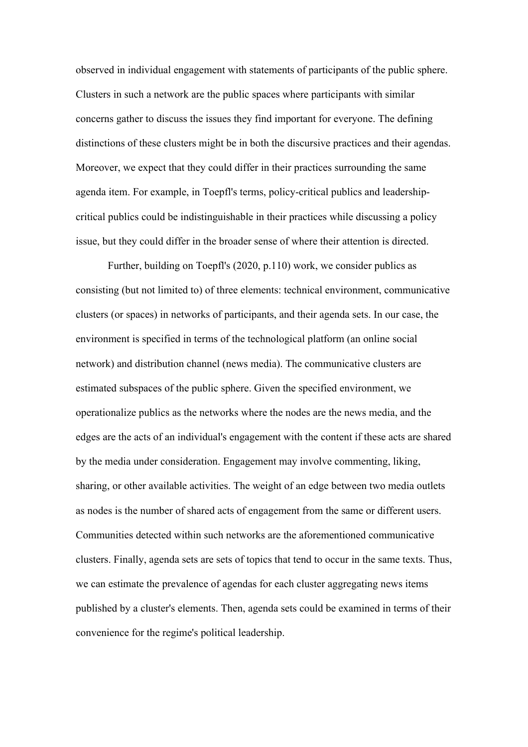observed in individual engagement with statements of participants of the public sphere. Clusters in such a network are the public spaces where participants with similar concerns gather to discuss the issues they find important for everyone. The defining distinctions of these clusters might be in both the discursive practices and their agendas. Moreover, we expect that they could differ in their practices surrounding the same agenda item. For example, in Toepfl's terms, policy-critical publics and leadershipcritical publics could be indistinguishable in their practices while discussing a policy issue, but they could differ in the broader sense of where their attention is directed.

Further, building on Toepfl's (2020, p.110) work, we consider publics as consisting (but not limited to) of three elements: technical environment, communicative clusters (or spaces) in networks of participants, and their agenda sets. In our case, the environment is specified in terms of the technological platform (an online social network) and distribution channel (news media). The communicative clusters are estimated subspaces of the public sphere. Given the specified environment, we operationalize publics as the networks where the nodes are the news media, and the edges are the acts of an individual's engagement with the content if these acts are shared by the media under consideration. Engagement may involve commenting, liking, sharing, or other available activities. The weight of an edge between two media outlets as nodes is the number of shared acts of engagement from the same or different users. Communities detected within such networks are the aforementioned communicative clusters. Finally, agenda sets are sets of topics that tend to occur in the same texts. Thus, we can estimate the prevalence of agendas for each cluster aggregating news items published by a cluster's elements. Then, agenda sets could be examined in terms of their convenience for the regime's political leadership.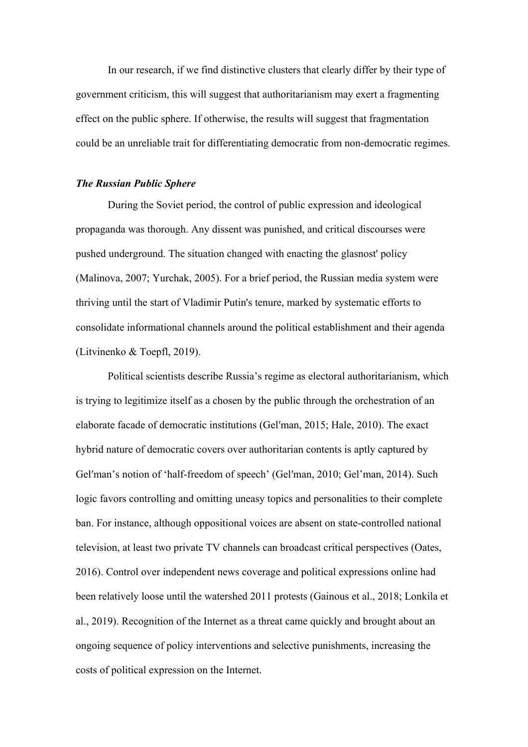In our research, if we find distinctive clusters that clearly differ by their type of government criticism, this will suggest that authoritarianism may exert a fragmenting effect on the public sphere. If otherwise, the results will suggest that fragmentation could be an unreliable trait for differentiating democratic from non-democratic regimes.

#### *The Russian Public Sphere*

During the Soviet period, the control of public expression and ideological propaganda was thorough. Any dissent was punished, and critical discourses were pushed underground. The situation changed with enacting the glasnost' policy (Malinova, 2007; Yurchak, 2005). For a brief period, the Russian media system were thriving until the start of Vladimir Putin's tenure, marked by systematic efforts to consolidate informational channels around the political establishment and their agenda (Litvinenko & Toepfl, 2019).

Political scientists describe Russia's regime as electoral authoritarianism, which is trying to legitimize itself as a chosen by the public through the orchestration of an elaborate facade of democratic institutions (Gelʹman, 2015; Hale, 2010). The exact hybrid nature of democratic covers over authoritarian contents is aptly captured by Gel'man's notion of 'half-freedom of speech' (Gel'man, 2010; Gel'man, 2014). Such logic favors controlling and omitting uneasy topics and personalities to their complete ban. For instance, although oppositional voices are absent on state-controlled national television, at least two private TV channels can broadcast critical perspectives (Oates, 2016). Control over independent news coverage and political expressions online had been relatively loose until the watershed 2011 protests (Gainous et al., 2018; Lonkila et al., 2019). Recognition of the Internet as a threat came quickly and brought about an ongoing sequence of policy interventions and selective punishments, increasing the costs of political expression on the Internet.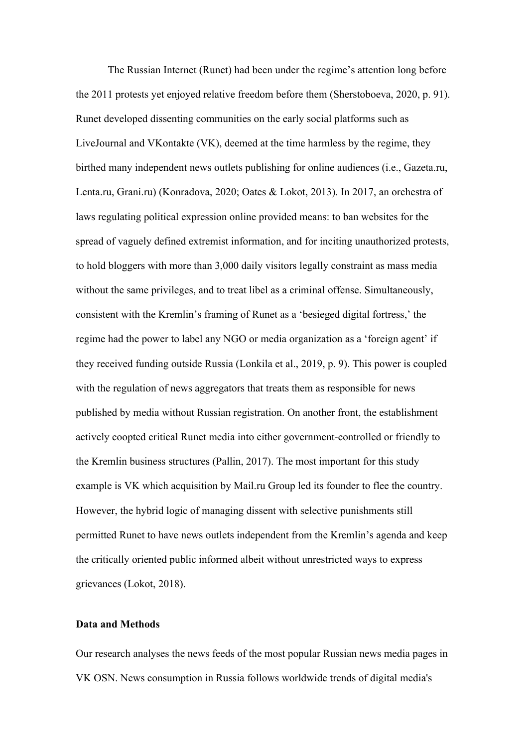The Russian Internet (Runet) had been under the regime's attention long before the 2011 protests yet enjoyed relative freedom before them (Sherstoboeva, 2020, p. 91). Runet developed dissenting communities on the early social platforms such as LiveJournal and VKontakte (VK), deemed at the time harmless by the regime, they birthed many independent news outlets publishing for online audiences (i.e., Gazeta.ru, Lenta.ru, Grani.ru) (Konradova, 2020; Oates & Lokot, 2013). In 2017, an orchestra of laws regulating political expression online provided means: to ban websites for the spread of vaguely defined extremist information, and for inciting unauthorized protests, to hold bloggers with more than 3,000 daily visitors legally constraint as mass media without the same privileges, and to treat libel as a criminal offense. Simultaneously, consistent with the Kremlin's framing of Runet as a 'besieged digital fortress,' the regime had the power to label any NGO or media organization as a 'foreign agent' if they received funding outside Russia (Lonkila et al., 2019, p. 9). This power is coupled with the regulation of news aggregators that treats them as responsible for news published by media without Russian registration. On another front, the establishment actively coopted critical Runet media into either government-controlled or friendly to the Kremlin business structures (Pallin, 2017). The most important for this study example is VK which acquisition by Mail.ru Group led its founder to flee the country. However, the hybrid logic of managing dissent with selective punishments still permitted Runet to have news outlets independent from the Kremlin's agenda and keep the critically oriented public informed albeit without unrestricted ways to express grievances (Lokot, 2018).

#### **Data and Methods**

Our research analyses the news feeds of the most popular Russian news media pages in VK OSN. News consumption in Russia follows worldwide trends of digital media's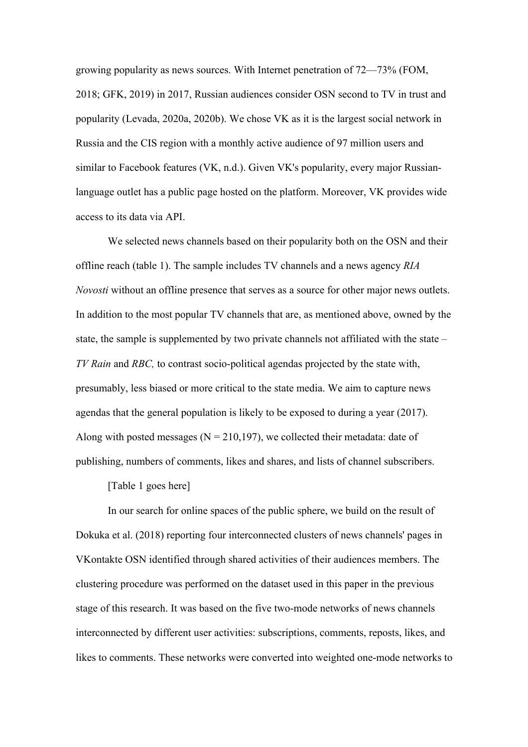growing popularity as news sources. With Internet penetration of 72—73% (FOM, 2018; GFK, 2019) in 2017, Russian audiences consider OSN second to TV in trust and popularity (Levada, 2020a, 2020b). We chose VK as it is the largest social network in Russia and the CIS region with a monthly active audience of 97 million users and similar to Facebook features (VK, n.d.). Given VK's popularity, every major Russianlanguage outlet has a public page hosted on the platform. Moreover, VK provides wide access to its data via API.

We selected news channels based on their popularity both on the OSN and their offline reach (table 1). The sample includes TV channels and a news agency *RIA Novosti* without an offline presence that serves as a source for other major news outlets. In addition to the most popular TV channels that are, as mentioned above, owned by the state, the sample is supplemented by two private channels not affiliated with the state – *TV Rain* and *RBC,* to contrast socio-political agendas projected by the state with, presumably, less biased or more critical to the state media. We aim to capture news agendas that the general population is likely to be exposed to during a year (2017). Along with posted messages ( $N = 210,197$ ), we collected their metadata: date of publishing, numbers of comments, likes and shares, and lists of channel subscribers.

[Table 1 goes here]

In our search for online spaces of the public sphere, we build on the result of Dokuka et al. (2018) reporting four interconnected clusters of news channels' pages in VKontakte OSN identified through shared activities of their audiences members. The clustering procedure was performed on the dataset used in this paper in the previous stage of this research. It was based on the five two-mode networks of news channels interconnected by different user activities: subscriptions, comments, reposts, likes, and likes to comments. These networks were converted into weighted one-mode networks to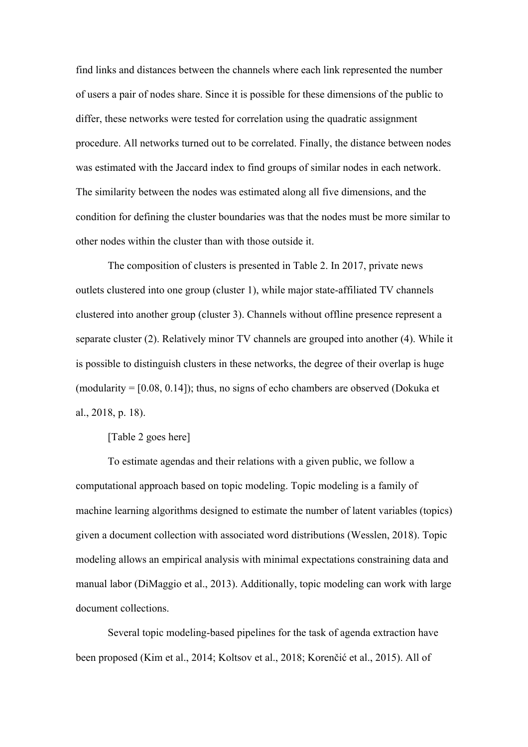find links and distances between the channels where each link represented the number of users a pair of nodes share. Since it is possible for these dimensions of the public to differ, these networks were tested for correlation using the quadratic assignment procedure. All networks turned out to be correlated. Finally, the distance between nodes was estimated with the Jaccard index to find groups of similar nodes in each network. The similarity between the nodes was estimated along all five dimensions, and the condition for defining the cluster boundaries was that the nodes must be more similar to other nodes within the cluster than with those outside it.

The composition of clusters is presented in Table 2. In 2017, private news outlets clustered into one group (cluster 1), while major state-affiliated TV channels clustered into another group (cluster 3). Channels without offline presence represent a separate cluster (2). Relatively minor TV channels are grouped into another (4). While it is possible to distinguish clusters in these networks, the degree of their overlap is huge (modularity  $=[0.08, 0.14]$ ); thus, no signs of echo chambers are observed (Dokuka et al., 2018, p. 18).

#### [Table 2 goes here]

To estimate agendas and their relations with a given public, we follow a computational approach based on topic modeling. Topic modeling is a family of machine learning algorithms designed to estimate the number of latent variables (topics) given a document collection with associated word distributions (Wesslen, 2018). Topic modeling allows an empirical analysis with minimal expectations constraining data and manual labor (DiMaggio et al., 2013). Additionally, topic modeling can work with large document collections.

Several topic modeling-based pipelines for the task of agenda extraction have been proposed (Kim et al., 2014; Koltsov et al., 2018; Korenčić et al., 2015). All of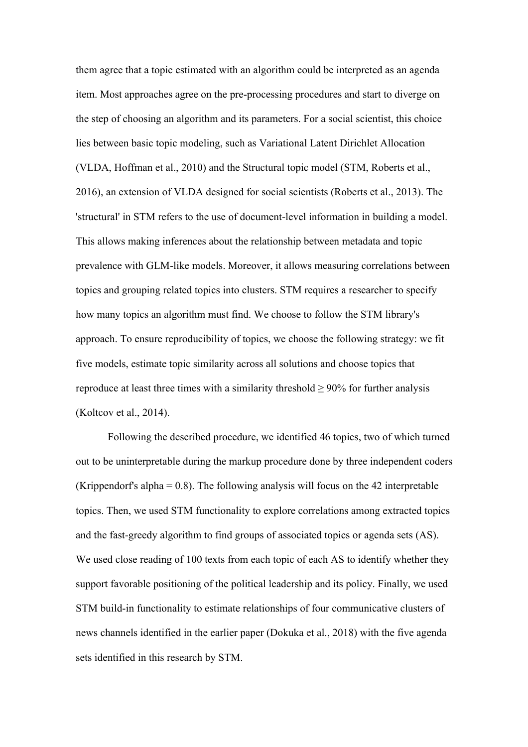them agree that a topic estimated with an algorithm could be interpreted as an agenda item. Most approaches agree on the pre-processing procedures and start to diverge on the step of choosing an algorithm and its parameters. For a social scientist, this choice lies between basic topic modeling, such as Variational Latent Dirichlet Allocation (VLDA, Hoffman et al., 2010) and the Structural topic model (STM, Roberts et al., 2016), an extension of VLDA designed for social scientists (Roberts et al., 2013). The 'structural' in STM refers to the use of document-level information in building a model. This allows making inferences about the relationship between metadata and topic prevalence with GLM-like models. Moreover, it allows measuring correlations between topics and grouping related topics into clusters. STM requires a researcher to specify how many topics an algorithm must find. We choose to follow the STM library's approach. To ensure reproducibility of topics, we choose the following strategy: we fit five models, estimate topic similarity across all solutions and choose topics that reproduce at least three times with a similarity threshold  $\geq 90\%$  for further analysis (Koltcov et al., 2014).

Following the described procedure, we identified 46 topics, two of which turned out to be uninterpretable during the markup procedure done by three independent coders (Krippendorf's alpha =  $0.8$ ). The following analysis will focus on the 42 interpretable topics. Then, we used STM functionality to explore correlations among extracted topics and the fast-greedy algorithm to find groups of associated topics or agenda sets (AS). We used close reading of 100 texts from each topic of each AS to identify whether they support favorable positioning of the political leadership and its policy. Finally, we used STM build-in functionality to estimate relationships of four communicative clusters of news channels identified in the earlier paper (Dokuka et al., 2018) with the five agenda sets identified in this research by STM.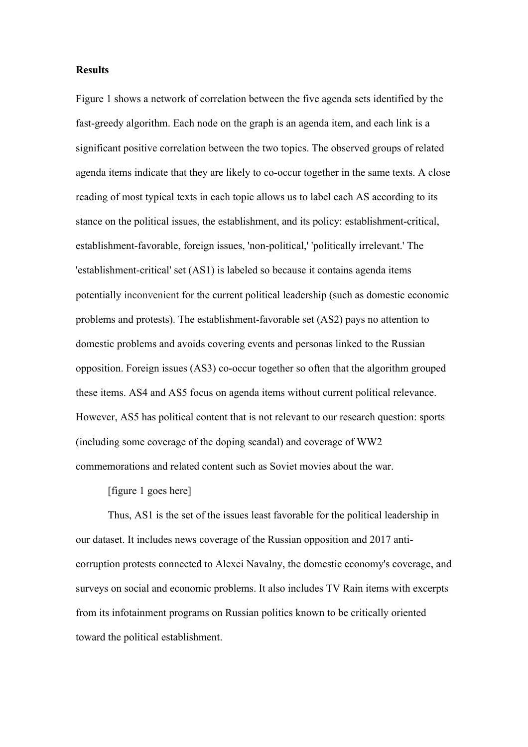#### **Results**

Figure 1 shows a network of correlation between the five agenda sets identified by the fast-greedy algorithm. Each node on the graph is an agenda item, and each link is a significant positive correlation between the two topics. The observed groups of related agenda items indicate that they are likely to co-occur together in the same texts. A close reading of most typical texts in each topic allows us to label each AS according to its stance on the political issues, the establishment, and its policy: establishment-critical, establishment-favorable, foreign issues, 'non-political,' 'politically irrelevant.' The 'establishment-critical' set (AS1) is labeled so because it contains agenda items potentially inconvenient for the current political leadership (such as domestic economic problems and protests). The establishment-favorable set (AS2) pays no attention to domestic problems and avoids covering events and personas linked to the Russian opposition. Foreign issues (AS3) co-occur together so often that the algorithm grouped these items. AS4 and AS5 focus on agenda items without current political relevance. However, AS5 has political content that is not relevant to our research question: sports (including some coverage of the doping scandal) and coverage of WW2 commemorations and related content such as Soviet movies about the war.

[figure 1 goes here]

Thus, AS1 is the set of the issues least favorable for the political leadership in our dataset. It includes news coverage of the Russian opposition and 2017 anticorruption protests connected to Alexei Navalny, the domestic economy's coverage, and surveys on social and economic problems. It also includes TV Rain items with excerpts from its infotainment programs on Russian politics known to be critically oriented toward the political establishment.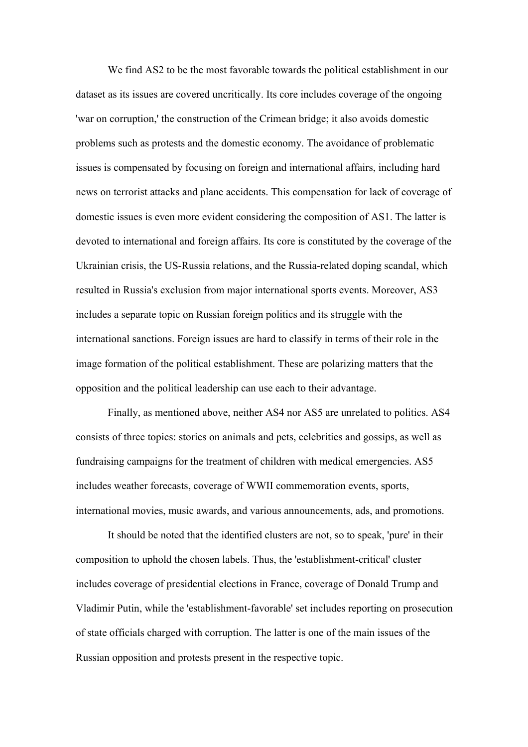We find AS2 to be the most favorable towards the political establishment in our dataset as its issues are covered uncritically. Its core includes coverage of the ongoing 'war on corruption,' the construction of the Crimean bridge; it also avoids domestic problems such as protests and the domestic economy. The avoidance of problematic issues is compensated by focusing on foreign and international affairs, including hard news on terrorist attacks and plane accidents. This compensation for lack of coverage of domestic issues is even more evident considering the composition of AS1. The latter is devoted to international and foreign affairs. Its core is constituted by the coverage of the Ukrainian crisis, the US-Russia relations, and the Russia-related doping scandal, which resulted in Russia's exclusion from major international sports events. Moreover, AS3 includes a separate topic on Russian foreign politics and its struggle with the international sanctions. Foreign issues are hard to classify in terms of their role in the image formation of the political establishment. These are polarizing matters that the opposition and the political leadership can use each to their advantage.

Finally, as mentioned above, neither AS4 nor AS5 are unrelated to politics. AS4 consists of three topics: stories on animals and pets, celebrities and gossips, as well as fundraising campaigns for the treatment of children with medical emergencies. AS5 includes weather forecasts, coverage of WWII commemoration events, sports, international movies, music awards, and various announcements, ads, and promotions.

It should be noted that the identified clusters are not, so to speak, 'pure' in their composition to uphold the chosen labels. Thus, the 'establishment-critical' cluster includes coverage of presidential elections in France, coverage of Donald Trump and Vladimir Putin, while the 'establishment-favorable' set includes reporting on prosecution of state officials charged with corruption. The latter is one of the main issues of the Russian opposition and protests present in the respective topic.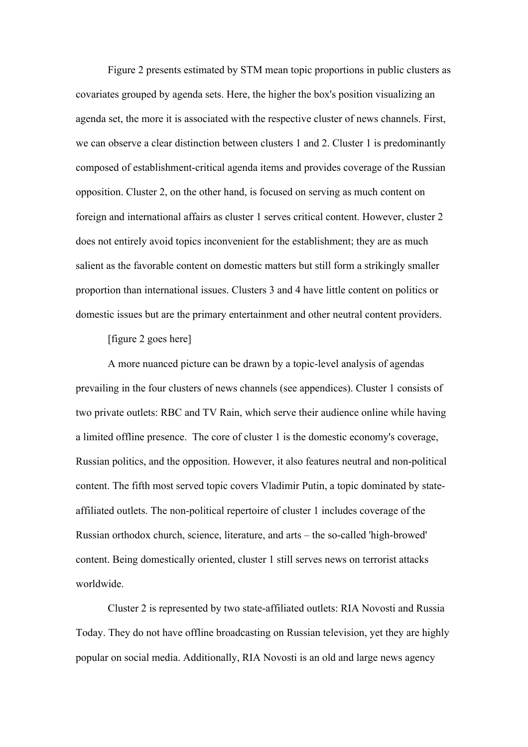Figure 2 presents estimated by STM mean topic proportions in public clusters as covariates grouped by agenda sets. Here, the higher the box's position visualizing an agenda set, the more it is associated with the respective cluster of news channels. First, we can observe a clear distinction between clusters 1 and 2. Cluster 1 is predominantly composed of establishment-critical agenda items and provides coverage of the Russian opposition. Cluster 2, on the other hand, is focused on serving as much content on foreign and international affairs as cluster 1 serves critical content. However, cluster 2 does not entirely avoid topics inconvenient for the establishment; they are as much salient as the favorable content on domestic matters but still form a strikingly smaller proportion than international issues. Clusters 3 and 4 have little content on politics or domestic issues but are the primary entertainment and other neutral content providers.

[figure 2 goes here]

A more nuanced picture can be drawn by a topic-level analysis of agendas prevailing in the four clusters of news channels (see appendices). Cluster 1 consists of two private outlets: RBC and TV Rain, which serve their audience online while having a limited offline presence. The core of cluster 1 is the domestic economy's coverage, Russian politics, and the opposition. However, it also features neutral and non-political content. The fifth most served topic covers Vladimir Putin, a topic dominated by stateaffiliated outlets. The non-political repertoire of cluster 1 includes coverage of the Russian orthodox church, science, literature, and arts – the so-called 'high-browed' content. Being domestically oriented, cluster 1 still serves news on terrorist attacks worldwide.

Cluster 2 is represented by two state-affiliated outlets: RIA Novosti and Russia Today. They do not have offline broadcasting on Russian television, yet they are highly popular on social media. Additionally, RIA Novosti is an old and large news agency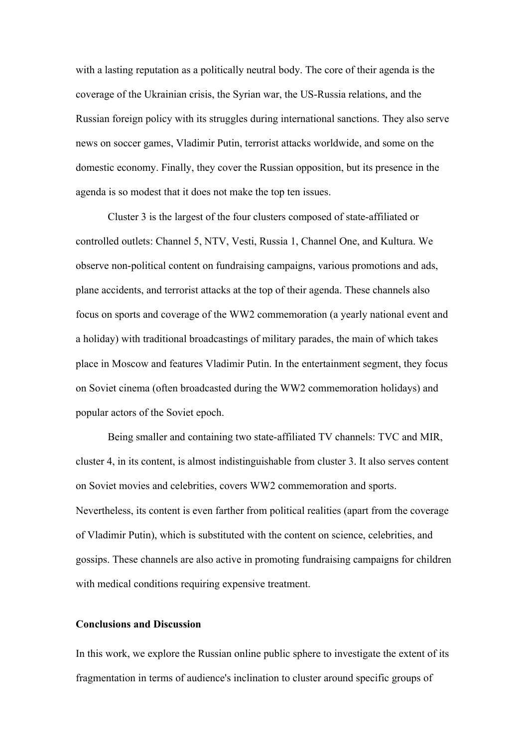with a lasting reputation as a politically neutral body. The core of their agenda is the coverage of the Ukrainian crisis, the Syrian war, the US-Russia relations, and the Russian foreign policy with its struggles during international sanctions. They also serve news on soccer games, Vladimir Putin, terrorist attacks worldwide, and some on the domestic economy. Finally, they cover the Russian opposition, but its presence in the agenda is so modest that it does not make the top ten issues.

Cluster 3 is the largest of the four clusters composed of state-affiliated or controlled outlets: Channel 5, NTV, Vesti, Russia 1, Channel One, and Kultura. We observe non-political content on fundraising campaigns, various promotions and ads, plane accidents, and terrorist attacks at the top of their agenda. These channels also focus on sports and coverage of the WW2 commemoration (a yearly national event and a holiday) with traditional broadcastings of military parades, the main of which takes place in Moscow and features Vladimir Putin. In the entertainment segment, they focus on Soviet cinema (often broadcasted during the WW2 commemoration holidays) and popular actors of the Soviet epoch.

Being smaller and containing two state-affiliated TV channels: TVC and MIR, cluster 4, in its content, is almost indistinguishable from cluster 3. It also serves content on Soviet movies and celebrities, covers WW2 commemoration and sports. Nevertheless, its content is even farther from political realities (apart from the coverage of Vladimir Putin), which is substituted with the content on science, celebrities, and gossips. These channels are also active in promoting fundraising campaigns for children with medical conditions requiring expensive treatment.

#### **Conclusions and Discussion**

In this work, we explore the Russian online public sphere to investigate the extent of its fragmentation in terms of audience's inclination to cluster around specific groups of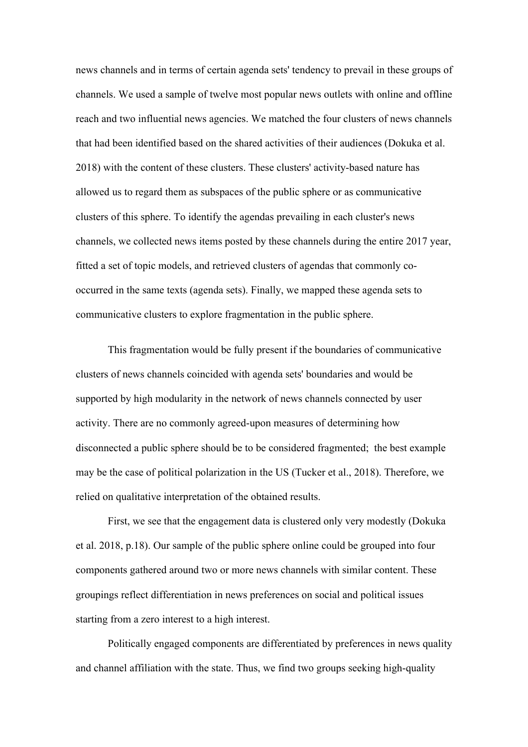news channels and in terms of certain agenda sets' tendency to prevail in these groups of channels. We used a sample of twelve most popular news outlets with online and offline reach and two influential news agencies. We matched the four clusters of news channels that had been identified based on the shared activities of their audiences (Dokuka et al. 2018) with the content of these clusters. These clusters' activity-based nature has allowed us to regard them as subspaces of the public sphere or as communicative clusters of this sphere. To identify the agendas prevailing in each cluster's news channels, we collected news items posted by these channels during the entire 2017 year, fitted a set of topic models, and retrieved clusters of agendas that commonly cooccurred in the same texts (agenda sets). Finally, we mapped these agenda sets to communicative clusters to explore fragmentation in the public sphere.

This fragmentation would be fully present if the boundaries of communicative clusters of news channels coincided with agenda sets' boundaries and would be supported by high modularity in the network of news channels connected by user activity. There are no commonly agreed-upon measures of determining how disconnected a public sphere should be to be considered fragmented; the best example may be the case of political polarization in the US (Tucker et al., 2018). Therefore, we relied on qualitative interpretation of the obtained results.

First, we see that the engagement data is clustered only very modestly (Dokuka et al. 2018, p.18). Our sample of the public sphere online could be grouped into four components gathered around two or more news channels with similar content. These groupings reflect differentiation in news preferences on social and political issues starting from a zero interest to a high interest.

Politically engaged components are differentiated by preferences in news quality and channel affiliation with the state. Thus, we find two groups seeking high-quality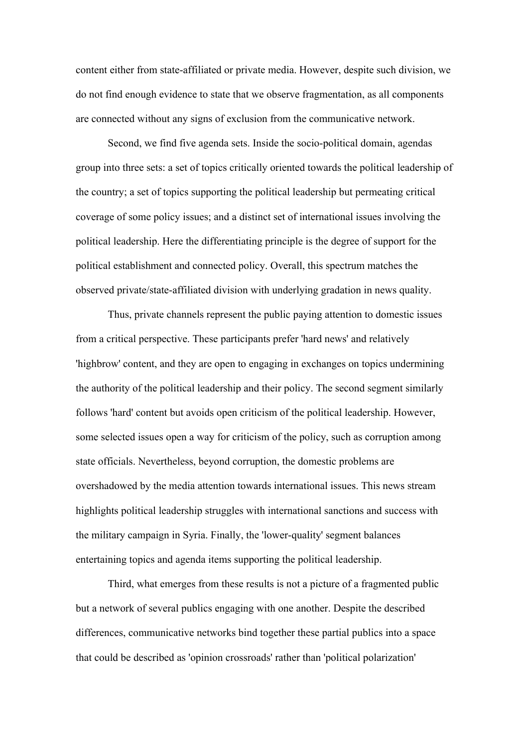content either from state-affiliated or private media. However, despite such division, we do not find enough evidence to state that we observe fragmentation, as all components are connected without any signs of exclusion from the communicative network.

Second, we find five agenda sets. Inside the socio-political domain, agendas group into three sets: a set of topics critically oriented towards the political leadership of the country; a set of topics supporting the political leadership but permeating critical coverage of some policy issues; and a distinct set of international issues involving the political leadership. Here the differentiating principle is the degree of support for the political establishment and connected policy. Overall, this spectrum matches the observed private/state-affiliated division with underlying gradation in news quality.

Thus, private channels represent the public paying attention to domestic issues from a critical perspective. These participants prefer 'hard news' and relatively 'highbrow' content, and they are open to engaging in exchanges on topics undermining the authority of the political leadership and their policy. The second segment similarly follows 'hard' content but avoids open criticism of the political leadership. However, some selected issues open a way for criticism of the policy, such as corruption among state officials. Nevertheless, beyond corruption, the domestic problems are overshadowed by the media attention towards international issues. This news stream highlights political leadership struggles with international sanctions and success with the military campaign in Syria. Finally, the 'lower-quality' segment balances entertaining topics and agenda items supporting the political leadership.

Third, what emerges from these results is not a picture of a fragmented public but a network of several publics engaging with one another. Despite the described differences, communicative networks bind together these partial publics into a space that could be described as 'opinion crossroads' rather than 'political polarization'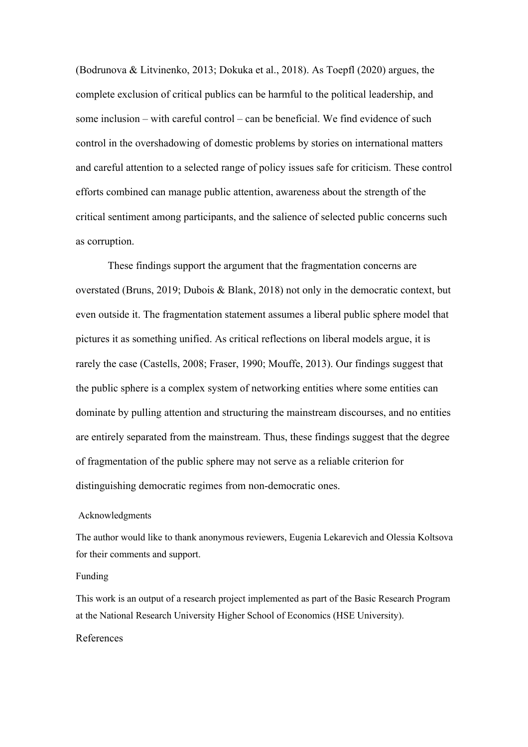(Bodrunova & Litvinenko, 2013; Dokuka et al., 2018). As Toepfl (2020) argues, the complete exclusion of critical publics can be harmful to the political leadership, and some inclusion – with careful control – can be beneficial. We find evidence of such control in the overshadowing of domestic problems by stories on international matters and careful attention to a selected range of policy issues safe for criticism. These control efforts combined can manage public attention, awareness about the strength of the critical sentiment among participants, and the salience of selected public concerns such as corruption.

These findings support the argument that the fragmentation concerns are overstated (Bruns, 2019; Dubois & Blank, 2018) not only in the democratic context, but even outside it. The fragmentation statement assumes a liberal public sphere model that pictures it as something unified. As critical reflections on liberal models argue, it is rarely the case (Castells, 2008; Fraser, 1990; Mouffe, 2013). Our findings suggest that the public sphere is a complex system of networking entities where some entities can dominate by pulling attention and structuring the mainstream discourses, and no entities are entirely separated from the mainstream. Thus, these findings suggest that the degree of fragmentation of the public sphere may not serve as a reliable criterion for distinguishing democratic regimes from non-democratic ones.

#### Acknowledgments

The author would like to thank anonymous reviewers, Eugenia Lekarevich and Olessia Koltsova for their comments and support.

#### Funding

This work is an output of a research project implemented as part of the Basic Research Program at the National Research University Higher School of Economics (HSE University).

#### References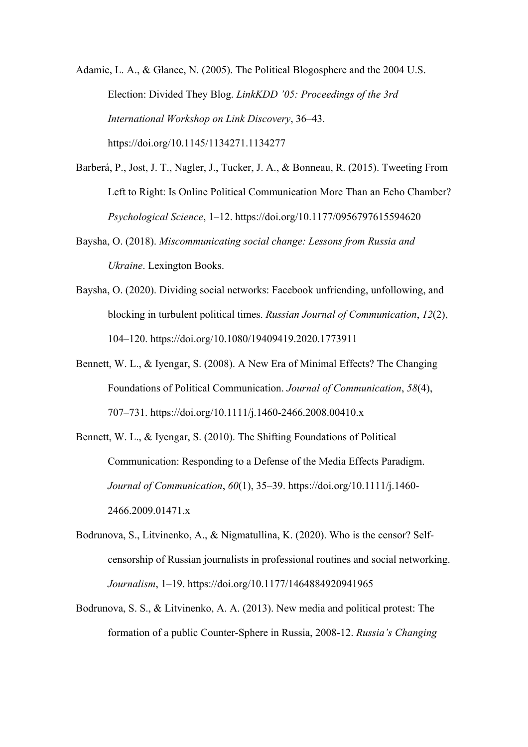Adamic, L. A., & Glance, N. (2005). The Political Blogosphere and the 2004 U.S. Election: Divided They Blog. *LinkKDD '05: Proceedings of the 3rd International Workshop on Link Discovery*, 36–43. https://doi.org/10.1145/1134271.1134277

- Barberá, P., Jost, J. T., Nagler, J., Tucker, J. A., & Bonneau, R. (2015). Tweeting From Left to Right: Is Online Political Communication More Than an Echo Chamber? *Psychological Science*, 1–12. https://doi.org/10.1177/0956797615594620
- Baysha, O. (2018). *Miscommunicating social change: Lessons from Russia and Ukraine*. Lexington Books.
- Baysha, O. (2020). Dividing social networks: Facebook unfriending, unfollowing, and blocking in turbulent political times. *Russian Journal of Communication*, *12*(2), 104–120. https://doi.org/10.1080/19409419.2020.1773911
- Bennett, W. L., & Iyengar, S. (2008). A New Era of Minimal Effects? The Changing Foundations of Political Communication. *Journal of Communication*, *58*(4), 707–731. https://doi.org/10.1111/j.1460-2466.2008.00410.x
- Bennett, W. L., & Iyengar, S. (2010). The Shifting Foundations of Political Communication: Responding to a Defense of the Media Effects Paradigm. *Journal of Communication*, *60*(1), 35–39. https://doi.org/10.1111/j.1460- 2466.2009.01471.x
- Bodrunova, S., Litvinenko, A., & Nigmatullina, K. (2020). Who is the censor? Selfcensorship of Russian journalists in professional routines and social networking. *Journalism*, 1–19. https://doi.org/10.1177/1464884920941965
- Bodrunova, S. S., & Litvinenko, A. A. (2013). New media and political protest: The formation of a public Counter-Sphere in Russia, 2008-12. *Russia's Changing*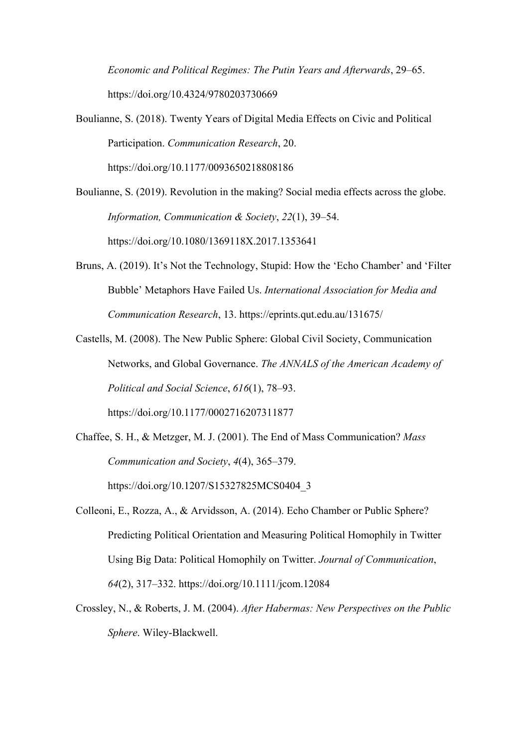*Economic and Political Regimes: The Putin Years and Afterwards*, 29–65. https://doi.org/10.4324/9780203730669

- Boulianne, S. (2018). Twenty Years of Digital Media Effects on Civic and Political Participation. *Communication Research*, 20. https://doi.org/10.1177/0093650218808186
- Boulianne, S. (2019). Revolution in the making? Social media effects across the globe. *Information, Communication & Society*, *22*(1), 39–54. https://doi.org/10.1080/1369118X.2017.1353641
- Bruns, A. (2019). It's Not the Technology, Stupid: How the 'Echo Chamber' and 'Filter Bubble' Metaphors Have Failed Us. *International Association for Media and Communication Research*, 13. https://eprints.qut.edu.au/131675/
- Castells, M. (2008). The New Public Sphere: Global Civil Society, Communication Networks, and Global Governance. *The ANNALS of the American Academy of Political and Social Science*, *616*(1), 78–93. https://doi.org/10.1177/0002716207311877
- Chaffee, S. H., & Metzger, M. J. (2001). The End of Mass Communication? *Mass Communication and Society*, *4*(4), 365–379. https://doi.org/10.1207/S15327825MCS0404\_3
- Colleoni, E., Rozza, A., & Arvidsson, A. (2014). Echo Chamber or Public Sphere? Predicting Political Orientation and Measuring Political Homophily in Twitter Using Big Data: Political Homophily on Twitter. *Journal of Communication*, *64*(2), 317–332. https://doi.org/10.1111/jcom.12084
- Crossley, N., & Roberts, J. M. (2004). *After Habermas: New Perspectives on the Public Sphere*. Wiley-Blackwell.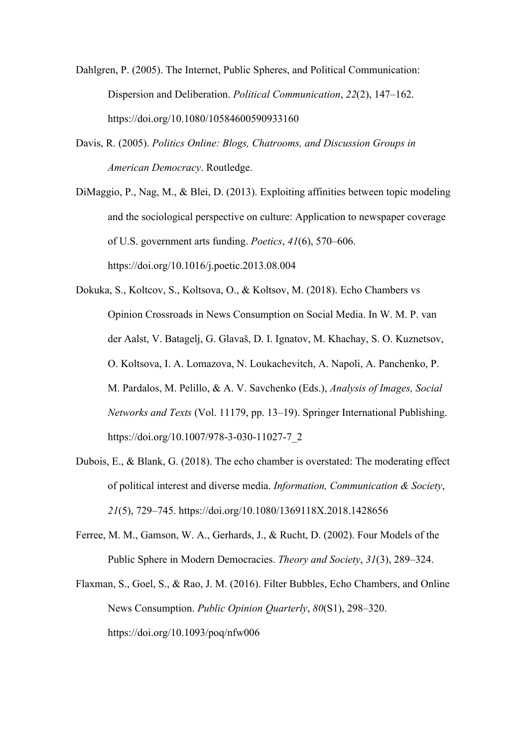Dahlgren, P. (2005). The Internet, Public Spheres, and Political Communication: Dispersion and Deliberation. *Political Communication*, *22*(2), 147–162. https://doi.org/10.1080/10584600590933160

Davis, R. (2005). *Politics Online: Blogs, Chatrooms, and Discussion Groups in American Democracy*. Routledge.

DiMaggio, P., Nag, M., & Blei, D. (2013). Exploiting affinities between topic modeling and the sociological perspective on culture: Application to newspaper coverage of U.S. government arts funding. *Poetics*, *41*(6), 570–606. https://doi.org/10.1016/j.poetic.2013.08.004

Dokuka, S., Koltcov, S., Koltsova, O., & Koltsov, M. (2018). Echo Chambers vs Opinion Crossroads in News Consumption on Social Media. In W. M. P. van der Aalst, V. Batagelj, G. Glavaš, D. I. Ignatov, M. Khachay, S. O. Kuznetsov, O. Koltsova, I. A. Lomazova, N. Loukachevitch, A. Napoli, A. Panchenko, P. M. Pardalos, M. Pelillo, & A. V. Savchenko (Eds.), *Analysis of Images, Social Networks and Texts* (Vol. 11179, pp. 13–19). Springer International Publishing. https://doi.org/10.1007/978-3-030-11027-7\_2

- Dubois, E., & Blank, G. (2018). The echo chamber is overstated: The moderating effect of political interest and diverse media. *Information, Communication & Society*, *21*(5), 729–745. https://doi.org/10.1080/1369118X.2018.1428656
- Ferree, M. M., Gamson, W. A., Gerhards, J., & Rucht, D. (2002). Four Models of the Public Sphere in Modern Democracies. *Theory and Society*, *31*(3), 289–324.
- Flaxman, S., Goel, S., & Rao, J. M. (2016). Filter Bubbles, Echo Chambers, and Online News Consumption. *Public Opinion Quarterly*, *80*(S1), 298–320. https://doi.org/10.1093/poq/nfw006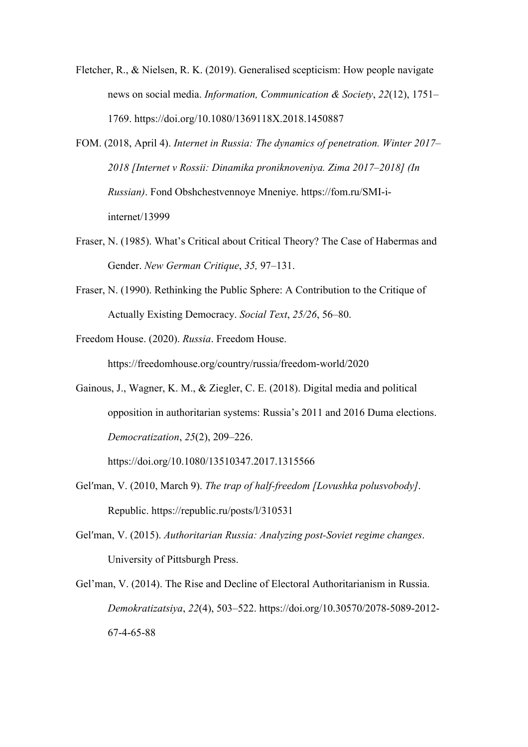- Fletcher, R., & Nielsen, R. K. (2019). Generalised scepticism: How people navigate news on social media. *Information, Communication & Society*, *22*(12), 1751– 1769. https://doi.org/10.1080/1369118X.2018.1450887
- FOM. (2018, April 4). *Internet in Russia: The dynamics of penetration. Winter 2017– 2018 [Internet v Rossii: Dinamika proniknoveniya. Zima 2017–2018] (In Russian)*. Fond Obshchestvennoye Mneniye. https://fom.ru/SMI-iinternet/13999
- Fraser, N. (1985). What's Critical about Critical Theory? The Case of Habermas and Gender. *New German Critique*, *35,* 97–131.
- Fraser, N. (1990). Rethinking the Public Sphere: A Contribution to the Critique of Actually Existing Democracy. *Social Text*, *25/26*, 56–80.
- Freedom House. (2020). *Russia*. Freedom House.

https://freedomhouse.org/country/russia/freedom-world/2020

Gainous, J., Wagner, K. M., & Ziegler, C. E. (2018). Digital media and political opposition in authoritarian systems: Russia's 2011 and 2016 Duma elections. *Democratization*, *25*(2), 209–226.

https://doi.org/10.1080/13510347.2017.1315566

- Gel'man, V. (2010, March 9). *The trap of half-freedom [Lovushka polusvobody]*. Republic. https://republic.ru/posts/l/310531
- Gelʹman, V. (2015). *Authoritarian Russia: Analyzing post-Soviet regime changes*. University of Pittsburgh Press.
- Gel'man, V. (2014). The Rise and Decline of Electoral Authoritarianism in Russia. *Demokratizatsiya*, *22*(4), 503–522. https://doi.org/10.30570/2078-5089-2012- 67-4-65-88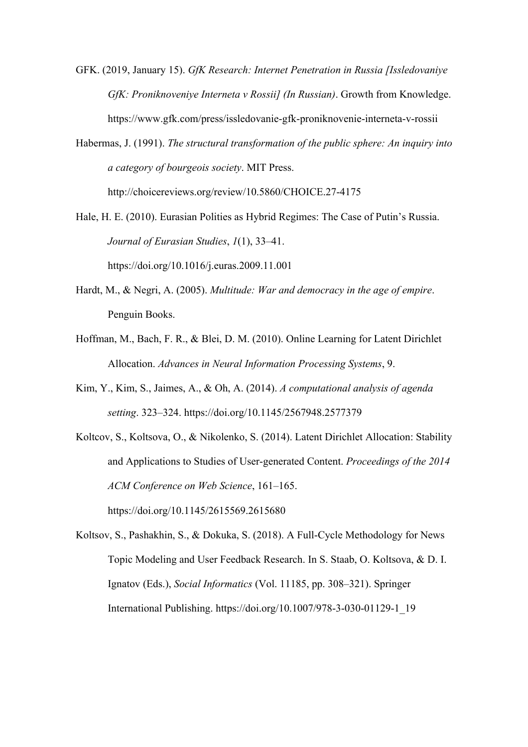GFK. (2019, January 15). *GfK Research: Internet Penetration in Russia [Issledovaniye GfK: Proniknoveniye Interneta v Rossii] (In Russian)*. Growth from Knowledge. https://www.gfk.com/press/issledovanie-gfk-proniknovenie-interneta-v-rossii

Habermas, J. (1991). *The structural transformation of the public sphere: An inquiry into a category of bourgeois society*. MIT Press. http://choicereviews.org/review/10.5860/CHOICE.27-4175

- Hale, H. E. (2010). Eurasian Polities as Hybrid Regimes: The Case of Putin's Russia. *Journal of Eurasian Studies*, *1*(1), 33–41. https://doi.org/10.1016/j.euras.2009.11.001
- Hardt, M., & Negri, A. (2005). *Multitude: War and democracy in the age of empire*. Penguin Books.
- Hoffman, M., Bach, F. R., & Blei, D. M. (2010). Online Learning for Latent Dirichlet Allocation. *Advances in Neural Information Processing Systems*, 9.
- Kim, Y., Kim, S., Jaimes, A., & Oh, A. (2014). *A computational analysis of agenda setting*. 323–324. https://doi.org/10.1145/2567948.2577379
- Koltcov, S., Koltsova, O., & Nikolenko, S. (2014). Latent Dirichlet Allocation: Stability and Applications to Studies of User-generated Content. *Proceedings of the 2014 ACM Conference on Web Science*, 161–165. https://doi.org/10.1145/2615569.2615680

Koltsov, S., Pashakhin, S., & Dokuka, S. (2018). A Full-Cycle Methodology for News Topic Modeling and User Feedback Research. In S. Staab, O. Koltsova, & D. I. Ignatov (Eds.), *Social Informatics* (Vol. 11185, pp. 308–321). Springer International Publishing. https://doi.org/10.1007/978-3-030-01129-1\_19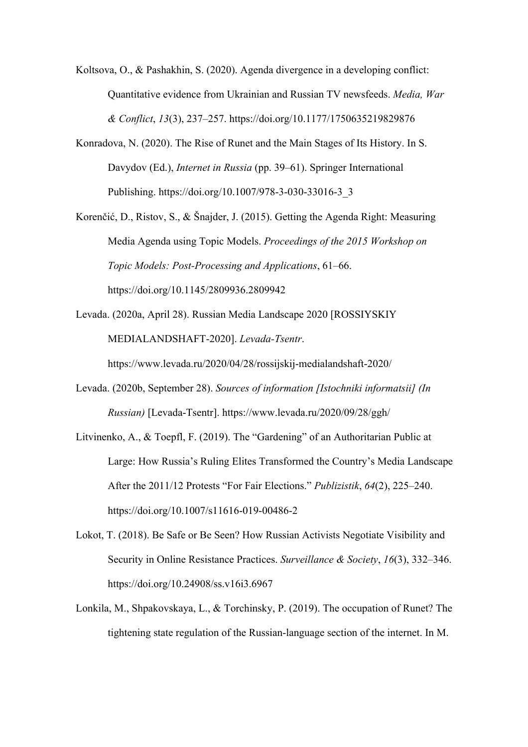Koltsova, O., & Pashakhin, S. (2020). Agenda divergence in a developing conflict: Quantitative evidence from Ukrainian and Russian TV newsfeeds. *Media, War & Conflict*, *13*(3), 237–257. https://doi.org/10.1177/1750635219829876

- Konradova, N. (2020). The Rise of Runet and the Main Stages of Its History. In S. Davydov (Ed.), *Internet in Russia* (pp. 39–61). Springer International Publishing. https://doi.org/10.1007/978-3-030-33016-3\_3
- Korenčić, D., Ristov, S., & Šnajder, J. (2015). Getting the Agenda Right: Measuring Media Agenda using Topic Models. *Proceedings of the 2015 Workshop on Topic Models: Post-Processing and Applications*, 61–66. https://doi.org/10.1145/2809936.2809942
- Levada. (2020a, April 28). Russian Media Landscape 2020 [ROSSIYSKIY MEDIALANDSHAFT-2020]. *Levada-Tsentr*.

https://www.levada.ru/2020/04/28/rossijskij-medialandshaft-2020/

- Levada. (2020b, September 28). *Sources of information [Istochniki informatsii] (In Russian)* [Levada-Tsentr]. https://www.levada.ru/2020/09/28/ggh/
- Litvinenko, A., & Toepfl, F. (2019). The "Gardening" of an Authoritarian Public at Large: How Russia's Ruling Elites Transformed the Country's Media Landscape After the 2011/12 Protests "For Fair Elections." *Publizistik*, *64*(2), 225–240. https://doi.org/10.1007/s11616-019-00486-2
- Lokot, T. (2018). Be Safe or Be Seen? How Russian Activists Negotiate Visibility and Security in Online Resistance Practices. *Surveillance & Society*, *16*(3), 332–346. https://doi.org/10.24908/ss.v16i3.6967
- Lonkila, M., Shpakovskaya, L., & Torchinsky, P. (2019). The occupation of Runet? The tightening state regulation of the Russian-language section of the internet. In M.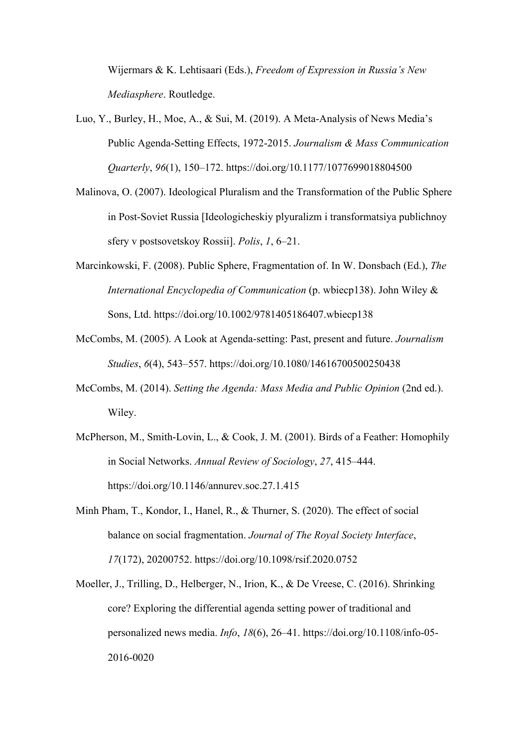Wijermars & K. Lehtisaari (Eds.), *Freedom of Expression in Russia's New Mediasphere*. Routledge.

- Luo, Y., Burley, H., Moe, A., & Sui, M. (2019). A Meta-Analysis of News Media's Public Agenda-Setting Effects, 1972-2015. *Journalism & Mass Communication Quarterly*, *96*(1), 150–172. https://doi.org/10.1177/1077699018804500
- Malinova, O. (2007). Ideological Pluralism and the Transformation of the Public Sphere in Post-Soviet Russia [Ideologicheskiy plyuralizm i transformatsiya publichnoy sfery v postsovetskoy Rossii]. *Polis*, *1*, 6–21.
- Marcinkowski, F. (2008). Public Sphere, Fragmentation of. In W. Donsbach (Ed.), *The International Encyclopedia of Communication* (p. wbiecp138). John Wiley & Sons, Ltd. https://doi.org/10.1002/9781405186407.wbiecp138
- McCombs, M. (2005). A Look at Agenda-setting: Past, present and future. *Journalism Studies*, *6*(4), 543–557. https://doi.org/10.1080/14616700500250438
- McCombs, M. (2014). *Setting the Agenda: Mass Media and Public Opinion* (2nd ed.). Wiley.
- McPherson, M., Smith-Lovin, L., & Cook, J. M. (2001). Birds of a Feather: Homophily in Social Networks. *Annual Review of Sociology*, *27*, 415–444. https://doi.org/10.1146/annurev.soc.27.1.415
- Minh Pham, T., Kondor, I., Hanel, R., & Thurner, S. (2020). The effect of social balance on social fragmentation. *Journal of The Royal Society Interface*, *17*(172), 20200752. https://doi.org/10.1098/rsif.2020.0752
- Moeller, J., Trilling, D., Helberger, N., Irion, K., & De Vreese, C. (2016). Shrinking core? Exploring the differential agenda setting power of traditional and personalized news media. *Info*, *18*(6), 26–41. https://doi.org/10.1108/info-05- 2016-0020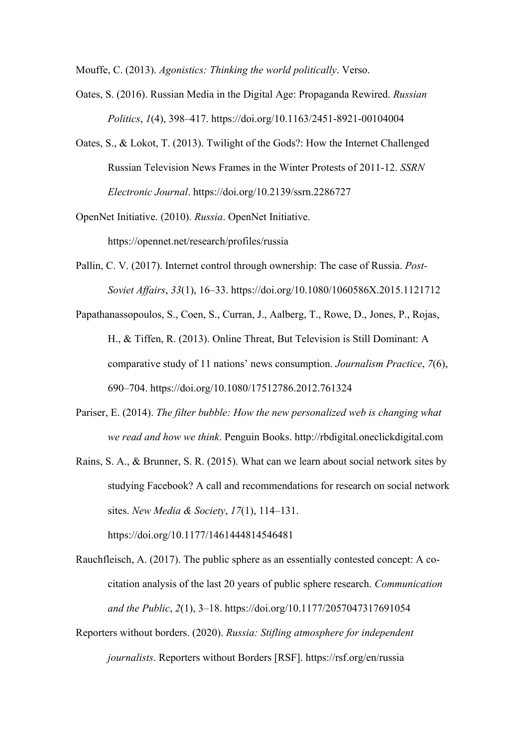Mouffe, C. (2013). *Agonistics: Thinking the world politically*. Verso.

- Oates, S. (2016). Russian Media in the Digital Age: Propaganda Rewired. *Russian Politics*, *1*(4), 398–417. https://doi.org/10.1163/2451-8921-00104004
- Oates, S., & Lokot, T. (2013). Twilight of the Gods?: How the Internet Challenged Russian Television News Frames in the Winter Protests of 2011-12. *SSRN Electronic Journal*. https://doi.org/10.2139/ssrn.2286727
- OpenNet Initiative. (2010). *Russia*. OpenNet Initiative.

https://opennet.net/research/profiles/russia

- Pallin, C. V. (2017). Internet control through ownership: The case of Russia. *Post-Soviet Affairs*, *33*(1), 16–33. https://doi.org/10.1080/1060586X.2015.1121712
- Papathanassopoulos, S., Coen, S., Curran, J., Aalberg, T., Rowe, D., Jones, P., Rojas, H., & Tiffen, R. (2013). Online Threat, But Television is Still Dominant: A comparative study of 11 nations' news consumption. *Journalism Practice*, *7*(6), 690–704. https://doi.org/10.1080/17512786.2012.761324
- Pariser, E. (2014). *The filter bubble: How the new personalized web is changing what we read and how we think*. Penguin Books. http://rbdigital.oneclickdigital.com
- Rains, S. A., & Brunner, S. R. (2015). What can we learn about social network sites by studying Facebook? A call and recommendations for research on social network sites. *New Media & Society*, *17*(1), 114–131. https://doi.org/10.1177/1461444814546481
- Rauchfleisch, A. (2017). The public sphere as an essentially contested concept: A cocitation analysis of the last 20 years of public sphere research. *Communication and the Public*, *2*(1), 3–18. https://doi.org/10.1177/2057047317691054
- Reporters without borders. (2020). *Russia: Stifling atmosphere for independent journalists*. Reporters without Borders [RSF]. https://rsf.org/en/russia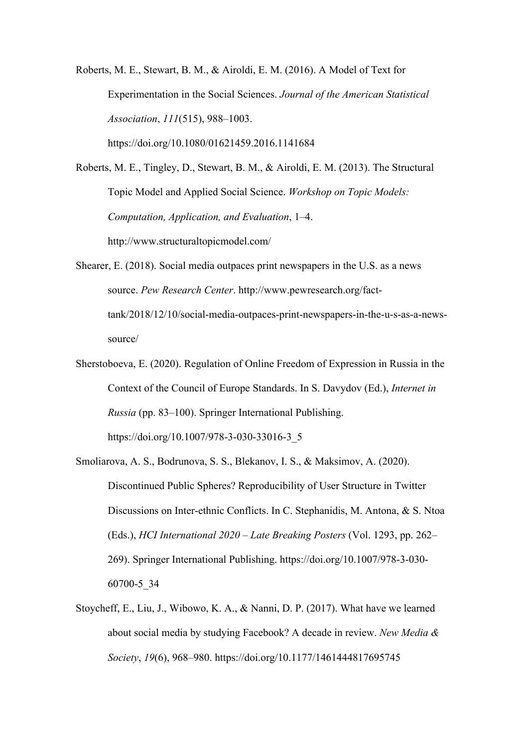Roberts, M. E., Stewart, B. M., & Airoldi, E. M. (2016). A Model of Text for Experimentation in the Social Sciences. *Journal of the American Statistical Association*, *111*(515), 988–1003. https://doi.org/10.1080/01621459.2016.1141684

Roberts, M. E., Tingley, D., Stewart, B. M., & Airoldi, E. M. (2013). The Structural Topic Model and Applied Social Science. *Workshop on Topic Models: Computation, Application, and Evaluation*, 1–4. http://www.structuraltopicmodel.com/

Shearer, E. (2018). Social media outpaces print newspapers in the U.S. as a news source. *Pew Research Center*. http://www.pewresearch.org/facttank/2018/12/10/social-media-outpaces-print-newspapers-in-the-u-s-as-a-newssource/

- Sherstoboeva, E. (2020). Regulation of Online Freedom of Expression in Russia in the Context of the Council of Europe Standards. In S. Davydov (Ed.), *Internet in Russia* (pp. 83–100). Springer International Publishing. https://doi.org/10.1007/978-3-030-33016-3\_5
- Smoliarova, A. S., Bodrunova, S. S., Blekanov, I. S., & Maksimov, A. (2020). Discontinued Public Spheres? Reproducibility of User Structure in Twitter Discussions on Inter-ethnic Conflicts. In C. Stephanidis, M. Antona, & S. Ntoa (Eds.), *HCI International 2020 – Late Breaking Posters* (Vol. 1293, pp. 262– 269). Springer International Publishing. https://doi.org/10.1007/978-3-030- 60700-5\_34
- Stoycheff, E., Liu, J., Wibowo, K. A., & Nanni, D. P. (2017). What have we learned about social media by studying Facebook? A decade in review. *New Media & Society*, *19*(6), 968–980. https://doi.org/10.1177/1461444817695745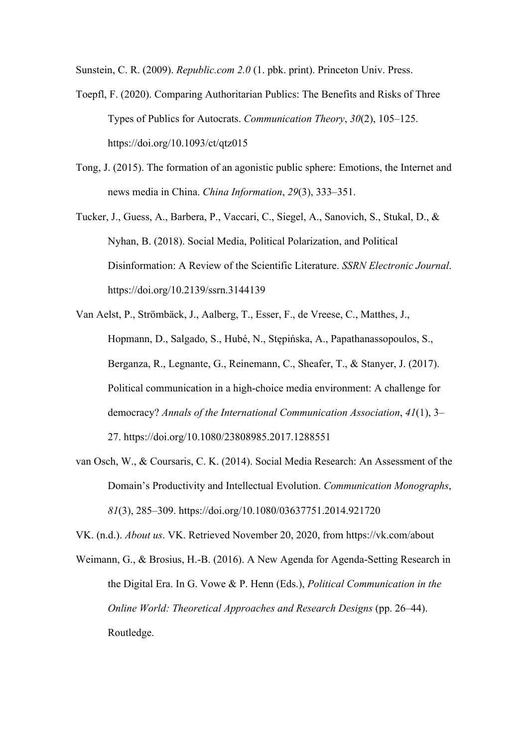Sunstein, C. R. (2009). *Republic.com 2.0* (1. pbk. print). Princeton Univ. Press.

- Toepfl, F. (2020). Comparing Authoritarian Publics: The Benefits and Risks of Three Types of Publics for Autocrats. *Communication Theory*, *30*(2), 105–125. https://doi.org/10.1093/ct/qtz015
- Tong, J. (2015). The formation of an agonistic public sphere: Emotions, the Internet and news media in China. *China Information*, *29*(3), 333–351.
- Tucker, J., Guess, A., Barbera, P., Vaccari, C., Siegel, A., Sanovich, S., Stukal, D., & Nyhan, B. (2018). Social Media, Political Polarization, and Political Disinformation: A Review of the Scientific Literature. *SSRN Electronic Journal*. https://doi.org/10.2139/ssrn.3144139
- Van Aelst, P., Strömbäck, J., Aalberg, T., Esser, F., de Vreese, C., Matthes, J., Hopmann, D., Salgado, S., Hubé, N., Stępińska, A., Papathanassopoulos, S., Berganza, R., Legnante, G., Reinemann, C., Sheafer, T., & Stanyer, J. (2017). Political communication in a high-choice media environment: A challenge for democracy? *Annals of the International Communication Association*, *41*(1), 3– 27. https://doi.org/10.1080/23808985.2017.1288551
- van Osch, W., & Coursaris, C. K. (2014). Social Media Research: An Assessment of the Domain's Productivity and Intellectual Evolution. *Communication Monographs*, *81*(3), 285–309. https://doi.org/10.1080/03637751.2014.921720

VK. (n.d.). *About us*. VK. Retrieved November 20, 2020, from https://vk.com/about

Weimann, G., & Brosius, H.-B. (2016). A New Agenda for Agenda-Setting Research in the Digital Era. In G. Vowe & P. Henn (Eds.), *Political Communication in the Online World: Theoretical Approaches and Research Designs* (pp. 26–44). Routledge.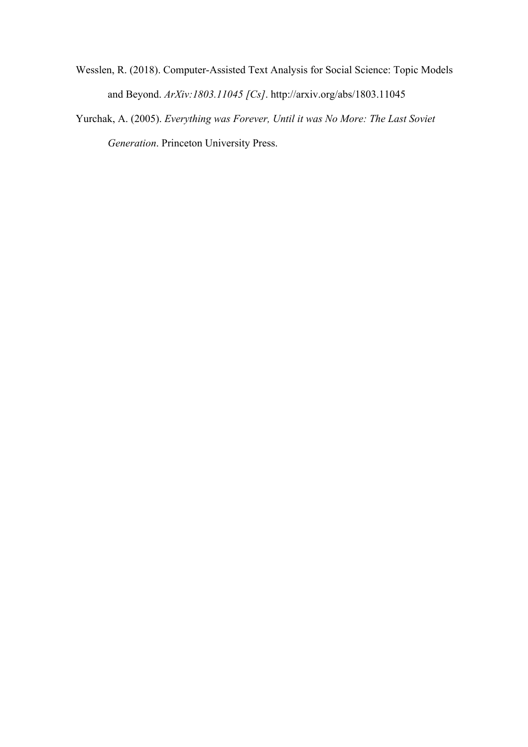- Wesslen, R. (2018). Computer-Assisted Text Analysis for Social Science: Topic Models and Beyond. *ArXiv:1803.11045 [Cs]*. http://arxiv.org/abs/1803.11045
- Yurchak, A. (2005). *Everything was Forever, Until it was No More: The Last Soviet Generation*. Princeton University Press.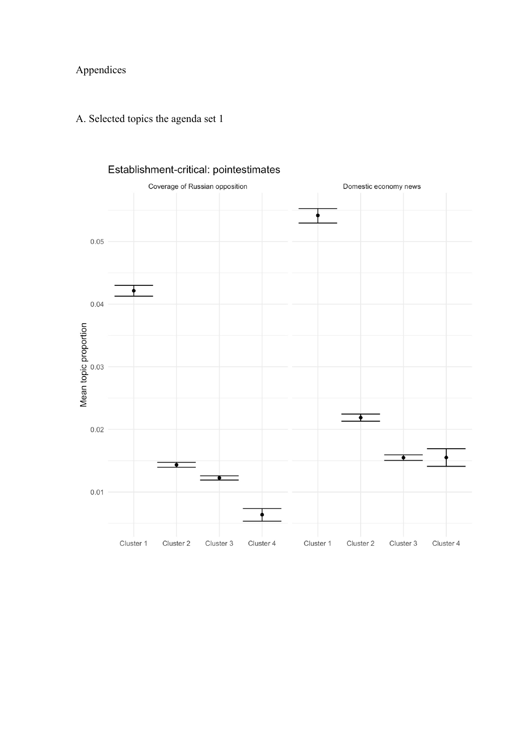# Appendices

# A. Selected topics the agenda set 1



### Establishment-critical: pointestimates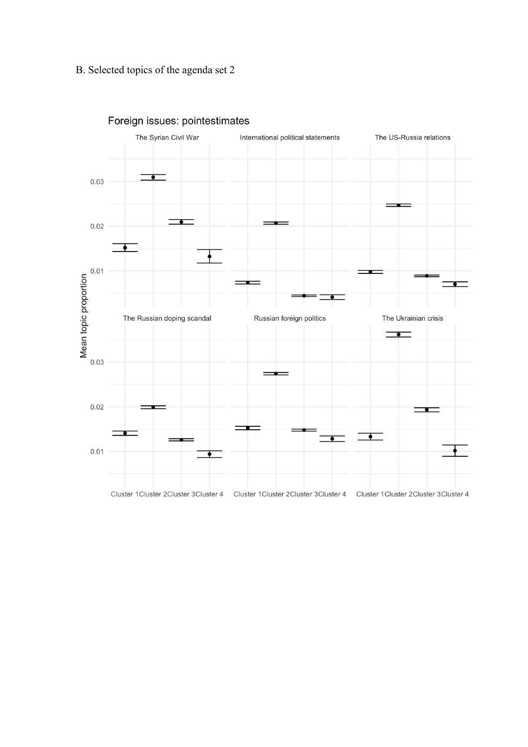### B. Selected topics of the agenda set 2



# Foreign issues: pointestimates